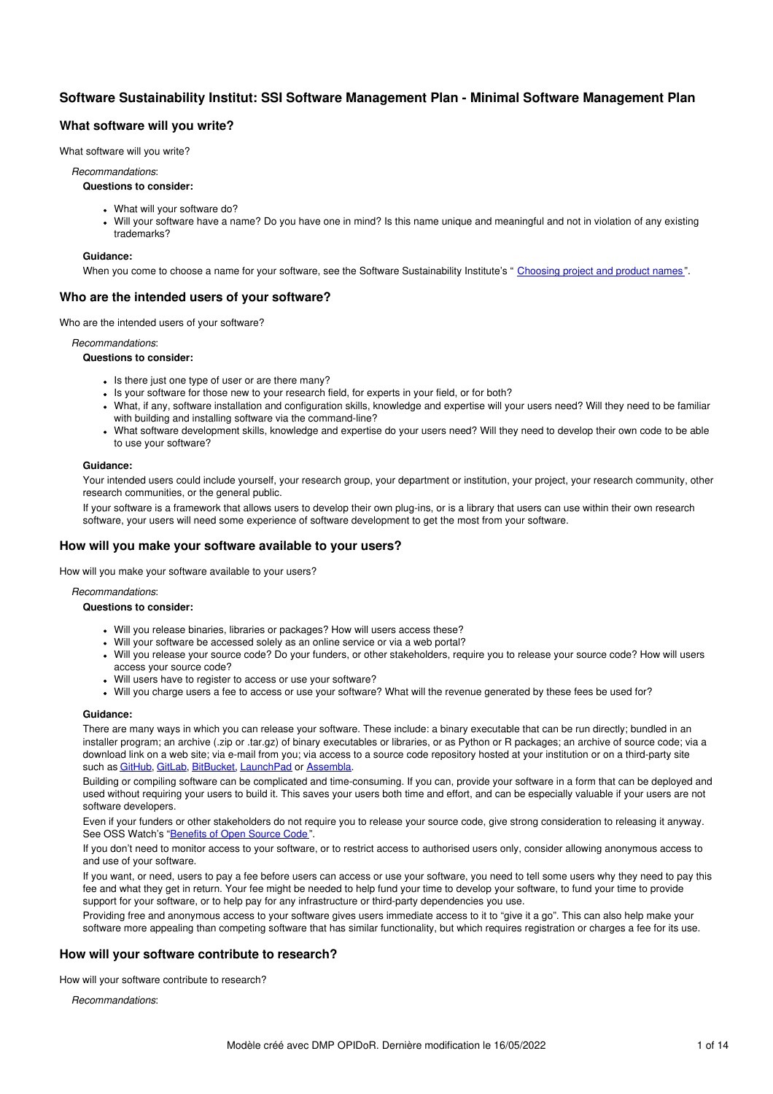# **Software Sustainability Institut: SSI Software Management Plan - Minimal Software Management Plan**

# **What software will you write?**

What software will you write?

#### *Recommandations*:

### **Questions to consider:**

- What will your software do?
- Will your software have a name? Do you have one in mind? Is this name unique and meaningful and not in violation of any existing trademarks?

#### **Guidance:**

When you come to choose a name for your software, see the Software Sustainability Institute's "[Choosing](http://software.ac.uk/resources/guides/choosing-project-and-product-names) project and product names".

# **Who are the intended users of your software?**

Who are the intended users of your software?

*Recommandations*:

**Questions to consider:**

- Is there just one type of user or are there many?
- Is your software for those new to your research field, for experts in your field, or for both?
- What, if any, software installation and configuration skills, knowledge and expertise will your users need? Will they need to be familiar with building and installing software via the command-line?
- What software development skills, knowledge and expertise do your users need? Will they need to develop their own code to be able to use your software?

### **Guidance:**

Your intended users could include yourself, your research group, your department or institution, your project, your research community, other research communities, or the general public.

If your software is a framework that allows users to develop their own plug-ins, or is a library that users can use within their own research software, your users will need some experience of software development to get the most from your software.

# **How will you make your software available to your users?**

How will you make your software available to your users?

*Recommandations*:

#### **Questions to consider:**

- Will you release binaries, libraries or packages? How will users access these?
- Will your software be accessed solely as an online service or via a web portal?
- Will you release your source code? Do your funders, or other stakeholders, require you to release your source code? How will users access your source code?
- Will users have to register to access or use your software?
- Will you charge users a fee to access or use your software? What will the revenue generated by these fees be used for?

### **Guidance:**

There are many ways in which you can release your software. These include: a binary executable that can be run directly; bundled in an installer program; an archive (.zip or .tar.gz) of binary executables or libraries, or as Python or R packages; an archive of source code; via a download link on a web site; via e-mail from you; via access to a source code repository hosted at your institution or on a third-party site such as [GitHub](http://github.com/), [GitLab](http://www.gitlab.com/), [BitBucket,](http://bitbucket.org/) [LaunchPad](https://launchpad.net/) or [Assembla](https://www.assembla.com/).

Building or compiling software can be complicated and time-consuming. If you can, provide your software in a form that can be deployed and used without requiring your users to build it. This saves your users both time and effort, and can be especially valuable if your users are not software developers.

Even if your funders or other stakeholders do not require you to release your source code, give strong consideration to releasing it anyway. See OSS Watch's ["Benefits](http://oss-watch.ac.uk/resources/whoneedssource) of Open Source Code ".

If you don't need to monitor access to your software, or to restrict access to authorised users only, consider allowing anonymous access to and use of your software.

If you want, or need, users to pay a fee before users can access or use your software, you need to tell some users why they need to pay this fee and what they get in return. Your fee might be needed to help fund your time to develop your software, to fund your time to provide support for your software, or to help pay for any infrastructure or third-party dependencies you use.

Providing free and anonymous access to your software gives users immediate access to it to "give it a go". This can also help make your software more appealing than competing software that has similar functionality, but which requires registration or charges a fee for its use.

# **How will your software contribute to research?**

How will your software contribute to research?

*Recommandations*: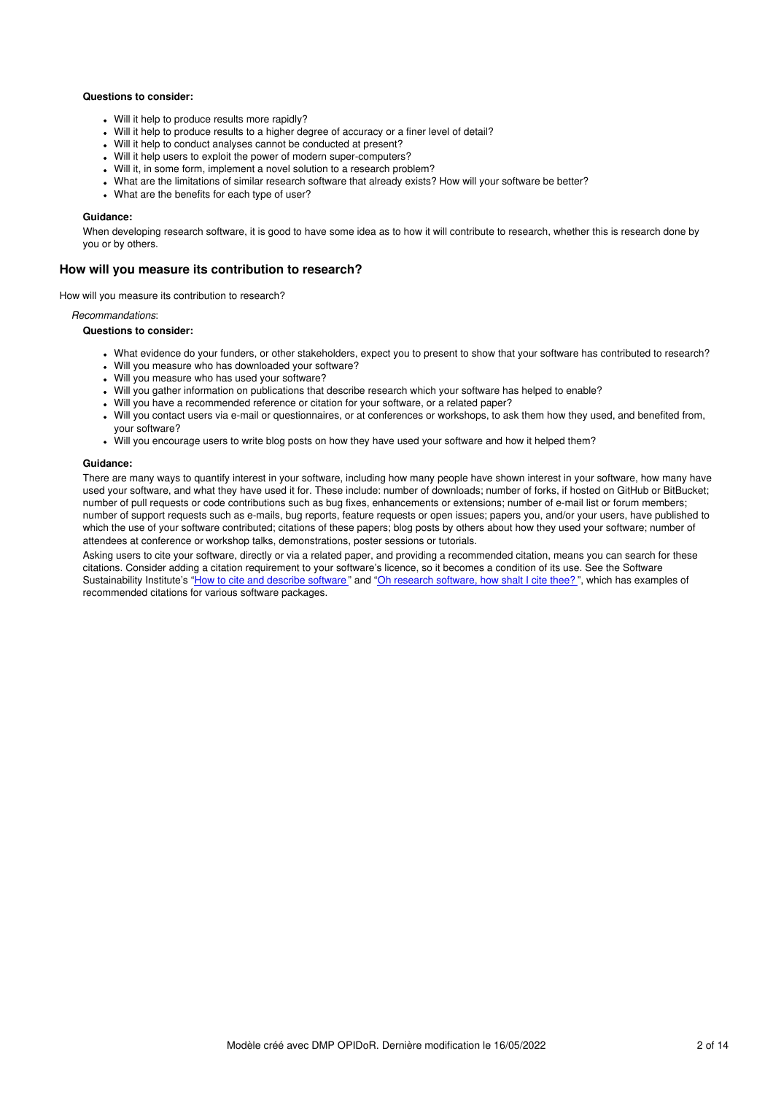### **Questions to consider:**

- Will it help to produce results more rapidly?
- Will it help to produce results to a higher degree of accuracy or a finer level of detail?
- Will it help to conduct analyses cannot be conducted at present?
- Will it help users to exploit the power of modern super-computers?
- Will it, in some form, implement a novel solution to a research problem?
- What are the limitations of similar research software that already exists? How will your software be better?
- What are the benefits for each type of user?

#### **Guidance:**

When developing research software, it is good to have some idea as to how it will contribute to research, whether this is research done by you or by others.

### **How will you measure its contribution to research?**

How will you measure its contribution to research?

#### *Recommandations*:

#### **Questions to consider:**

- What evidence do your funders, or other stakeholders, expect you to present to show that your software has contributed to research?
- Will you measure who has downloaded your software?
- Will you measure who has used your software?
- Will you gather information on publications that describe research which your software has helped to enable?
- Will you have a recommended reference or citation for your software, or a related paper?
- Will you contact users via e-mail or questionnaires, or at conferences or workshops, to ask them how they used, and benefited from, your software?
- Will you encourage users to write blog posts on how they have used your software and how it helped them?

#### **Guidance:**

There are many ways to quantify interest in your software, including how many people have shown interest in your software, how many have used your software, and what they have used it for. These include: number of downloads; number of forks, if hosted on GitHub or BitBucket; number of pull requests or code contributions such as bug fixes, enhancements or extensions; number of e-mail list or forum members; number of support requests such as e-mails, bug reports, feature requests or open issues; papers you, and/or your users, have published to which the use of your software contributed; citations of these papers; blog posts by others about how they used your software; number of attendees at conference or workshop talks, demonstrations, poster sessions or tutorials.

Asking users to cite your software, directly or via a related paper, and providing a recommended citation, means you can search for these citations. Consider adding a citation requirement to your software's licence, so it becomes a condition of its use. See the Software Sustainability Institute's "How to cite and [describe](http://software.ac.uk/so-exactly-what-software-did-you-use) software" and "Oh research [software,](http://www.software.ac.uk/blog/2014-07-30-oh-research-software-how-shalt-i-cite-thee) how shalt I cite thee?", which has examples of recommended citations for various software packages.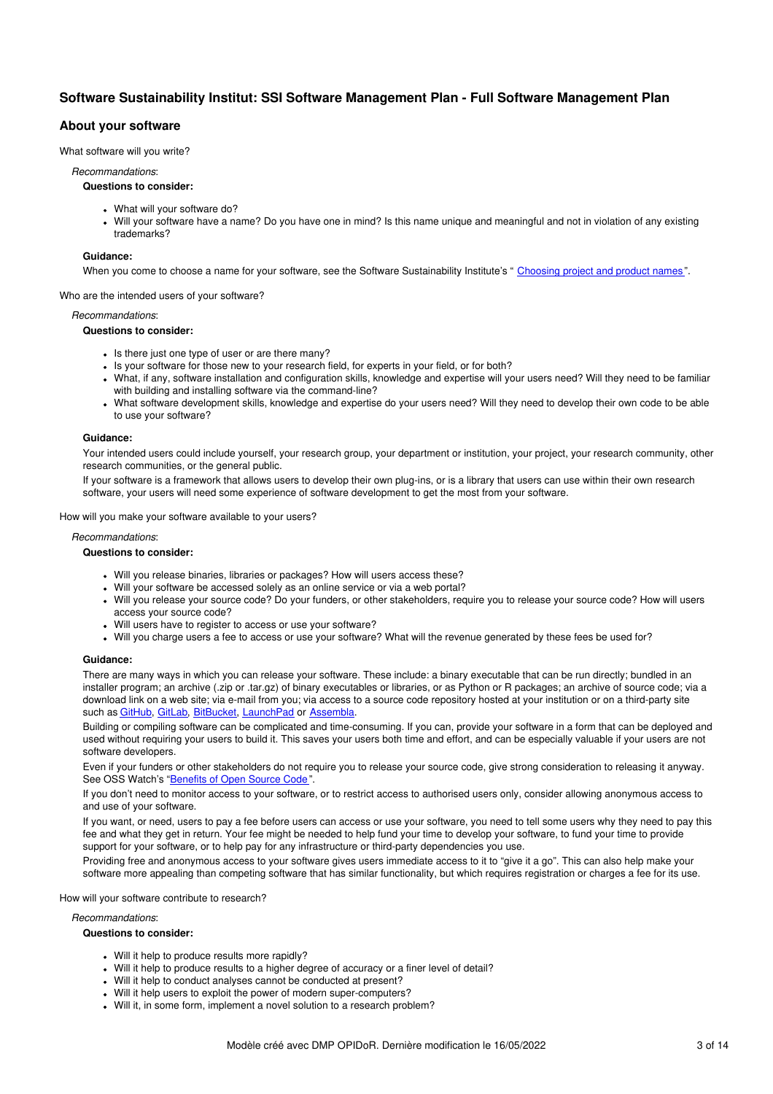# **Software Sustainability Institut: SSI Software Management Plan - Full Software Management Plan**

# **About your software**

What software will you write?

#### *Recommandations*:

### **Questions to consider:**

- What will your software do?
- Will your software have a name? Do you have one in mind? Is this name unique and meaningful and not in violation of any existing trademarks?

### **Guidance:**

When you come to choose a name for your software, see the Software Sustainability Institute's "[Choosing](http://software.ac.uk/resources/guides/choosing-project-and-product-names) project and product names".

Who are the intended users of your software?

#### *Recommandations*:

### **Questions to consider:**

- Is there just one type of user or are there many?
- Is your software for those new to your research field, for experts in your field, or for both?
- What, if any, software installation and configuration skills, knowledge and expertise will your users need? Will they need to be familiar with building and installing software via the command-line?
- What software development skills, knowledge and expertise do your users need? Will they need to develop their own code to be able to use your software?

### **Guidance:**

Your intended users could include yourself, your research group, your department or institution, your project, your research community, other research communities, or the general public.

If your software is a framework that allows users to develop their own plug-ins, or is a library that users can use within their own research software, your users will need some experience of software development to get the most from your software.

How will you make your software available to your users?

### *Recommandations*:

### **Questions to consider:**

- Will you release binaries, libraries or packages? How will users access these?
- Will your software be accessed solely as an online service or via a web portal?
- Will you release your source code? Do your funders, or other stakeholders, require you to release your source code? How will users access your source code?
- Will users have to register to access or use your software?
- Will you charge users a fee to access or use your software? What will the revenue generated by these fees be used for?

### **Guidance:**

There are many ways in which you can release your software. These include: a binary executable that can be run directly; bundled in an installer program; an archive (.zip or .tar.gz) of binary executables or libraries, or as Python or R packages; an archive of source code; via a download link on a web site; via e-mail from you; via access to a source code repository hosted at your institution or on a third-party site such as [GitHub](http://github.com/), [GitLab](http://www.gitlab.com/), [BitBucket](http://bitbucket.org/), [LaunchPad](https://launchpad.net/) or [Assembla](https://www.assembla.com/).

Building or compiling software can be complicated and time-consuming. If you can, provide your software in a form that can be deployed and used without requiring your users to build it. This saves your users both time and effort, and can be especially valuable if your users are not software developers.

Even if your funders or other stakeholders do not require you to release your source code, give strong consideration to releasing it anyway. See OSS Watch's ["Benefits](http://oss-watch.ac.uk/resources/whoneedssource) of Open Source Code".

If you don't need to monitor access to your software, or to restrict access to authorised users only, consider allowing anonymous access to and use of your software.

If you want, or need, users to pay a fee before users can access or use your software, you need to tell some users why they need to pay this fee and what they get in return. Your fee might be needed to help fund your time to develop your software, to fund your time to provide support for your software, or to help pay for any infrastructure or third-party dependencies you use.

Providing free and anonymous access to your software gives users immediate access to it to "give it a go". This can also help make your software more appealing than competing software that has similar functionality, but which requires registration or charges a fee for its use.

How will your software contribute to research?

*Recommandations*:

- Will it help to produce results more rapidly?
- Will it help to produce results to a higher degree of accuracy or a finer level of detail?
- Will it help to conduct analyses cannot be conducted at present?
- Will it help users to exploit the power of modern super-computers?
- Will it, in some form, implement a novel solution to a research problem?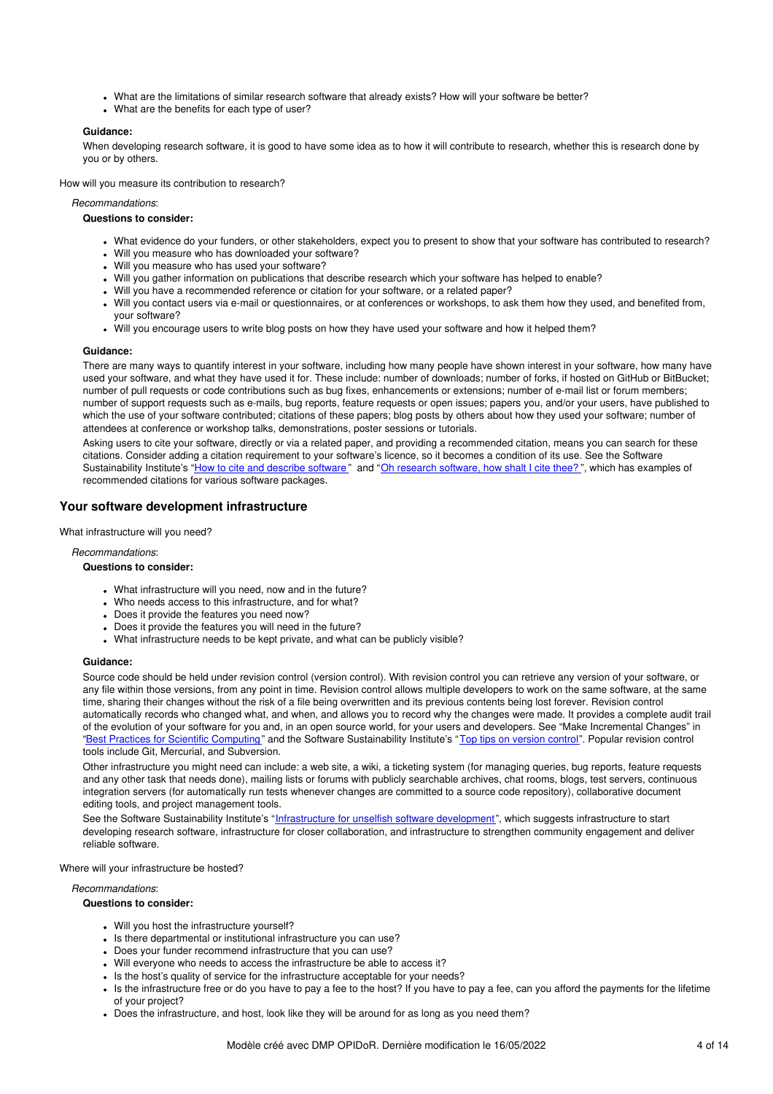- What are the limitations of similar research software that already exists? How will your software be better?
- What are the benefits for each type of user?

### **Guidance:**

When developing research software, it is good to have some idea as to how it will contribute to research, whether this is research done by you or by others.

How will you measure its contribution to research?

*Recommandations*:

**Questions to consider:**

- What evidence do your funders, or other stakeholders, expect you to present to show that your software has contributed to research?
- Will you measure who has downloaded your software?
- Will you measure who has used your software?
- Will you gather information on publications that describe research which your software has helped to enable?
- Will you have a recommended reference or citation for your software, or a related paper?
- Will you contact users via e-mail or questionnaires, or at conferences or workshops, to ask them how they used, and benefited from, your software?
- Will you encourage users to write blog posts on how they have used your software and how it helped them?

#### **Guidance:**

There are many ways to quantify interest in your software, including how many people have shown interest in your software, how many have used your software, and what they have used it for. These include: number of downloads; number of forks, if hosted on GitHub or BitBucket; number of pull requests or code contributions such as bug fixes, enhancements or extensions; number of e-mail list or forum members; number of support requests such as e-mails, bug reports, feature requests or open issues; papers you, and/or your users, have published to which the use of your software contributed; citations of these papers; blog posts by others about how they used your software; number of attendees at conference or workshop talks, demonstrations, poster sessions or tutorials.

Asking users to cite your software, directly or via a related paper, and providing a recommended citation, means you can search for these citations. Consider adding a citation requirement to your software's licence, so it becomes a condition of its use. See the Software Sustainability Institute's "How to cite and [describe](http://software.ac.uk/so-exactly-what-software-did-you-use) software" and "Oh research [software,](http://www.software.ac.uk/blog/2014-07-30-oh-research-software-how-shalt-i-cite-thee) how shalt I cite thee?", which has examples of recommended citations for various software packages.

### **Your software development infrastructure**

What infrastructure will you need?

*Recommandations*:

#### **Questions to consider:**

- What infrastructure will you need, now and in the future?
- Who needs access to this infrastructure, and for what?
- Does it provide the features you need now?
- Does it provide the features you will need in the future?
- What infrastructure needs to be kept private, and what can be publicly visible?

#### **Guidance:**

Source code should be held under revision control (version control). With revision control you can retrieve any version of your software, or any file within those versions, from any point in time. Revision control allows multiple developers to work on the same software, at the same time, sharing their changes without the risk of a file being overwritten and its previous contents being lost forever. Revision control automatically records who changed what, and when, and allows you to record why the changes were made. It provides a complete audit trail of the evolution of your software for you and, in an open source world, for your users and developers. See "Make Incremental Changes" in "Best Practices for Scientific [Computing](http://journals.plos.org/plosbiology/article?id=10.1371/journal.pbio.1001745)" and the Software Sustainability Institute's "Top tips on [version](http://www.software.ac.uk/blog/2013-09-30-top-tips-version-control) control". Popular revision control tools include Git, Mercurial, and Subversion.

Other infrastructure you might need can include: a web site, a wiki, a ticketing system (for managing queries, bug reports, feature requests and any other task that needs done), mailing lists or forums with publicly searchable archives, chat rooms, blogs, test servers, continuous integration servers (for automatically run tests whenever changes are committed to a source code repository), collaborative document editing tools, and project management tools.

See the Software Sustainability Institute's "[Infrastructure](http://www.software.ac.uk/blog/2012-07-17-infrastructure-unselfish-software-development-collection-top-tips) for unselfish software development", which suggests infrastructure to start developing research software, infrastructure for closer collaboration, and infrastructure to strengthen community engagement and deliver reliable software.

Where will your infrastructure be hosted?

*Recommandations*:

- Will you host the infrastructure yourself?
- Is there departmental or institutional infrastructure you can use?
- Does your funder recommend infrastructure that you can use?
- Will everyone who needs to access the infrastructure be able to access it?
- Is the host's quality of service for the infrastructure acceptable for your needs?
- Is the infrastructure free or do you have to pay a fee to the host? If you have to pay a fee, can you afford the payments for the lifetime of your project?
- Does the infrastructure, and host, look like they will be around for as long as you need them?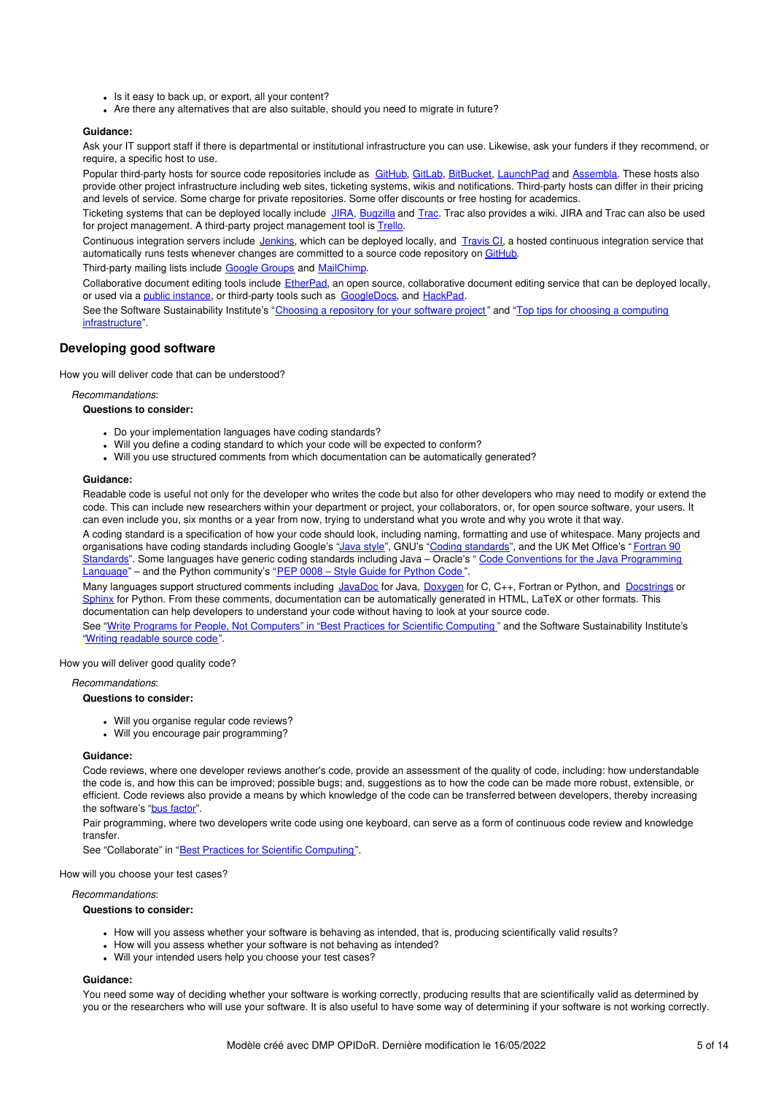- Is it easy to back up, or export, all your content?
- Are there any alternatives that are also suitable, should you need to migrate in future?

### **Guidance:**

Ask your IT support staff if there is departmental or institutional infrastructure you can use. Likewise, ask your funders if they recommend, or require, a specific host to use.

Popular third-party hosts for source code repositories include as [GitHub,](http://github.com/) [GitLab](http://www.gitlab.com/), [BitBucket](http://bitbucket.org/), [LaunchPad](https://launchpad.net/) and [Assembla](https://www.assembla.com/). These hosts also provide other project infrastructure including web sites, ticketing systems, wikis and notifications. Third-party hosts can differ in their pricing and levels of service. Some charge for private repositories. Some offer discounts or free hosting for academics.

Ticketing systems that can be deployed locally include [JIRA](https://www.atlassian.com/software/jira), [Bugzilla](http://www.bugzilla.org/) and [Trac](http://trac.edgewall.org/). Trac also provides a wiki. JIRA and Trac can also be used for project management. A third-party project management tool is [Trello](https://trello.com/).

Continuous integration servers include [Jenkins](http://jenkins-ci.org/), which can be deployed locally, and [Travis](http://travis-ci.org/) CI, a hosted continuous integration service that automatically runs tests whenever changes are committed to a source code repository on [GitHub.](http://github.com/)

Third-party mailing lists include [Google](https://groups.google.com/forum/#!overview) Groups and [MailChimp](http://mailchimp.com/).

Collaborative document editing tools include [EtherPad](http://etherpad.org/), an open source, collaborative document editing service that can be deployed locally, or used via a public [instance](https://github.com/ether/etherpad-lite/wiki/Sites-that-run-Etherpad-Lite), or third-party tools such as [GoogleDocs](https://www.google.co.uk/docs/about/), and [HackPad](https://hackpad.com/).

See the Software Sustainability Institute's "Choosing a [repository](http://software.ac.uk/resources/guides/choosing-repository-your-software-project) for your software project" and "Top tips for choosing a computing [infrastructure".](http://www.software.ac.uk/blog/2013-05-16-top-tips-choosing-computing-infrastructure)

### **Developing good software**

How you will deliver code that can be understood?

#### *Recommandations*:

### **Questions to consider:**

- Do your implementation languages have coding standards?
- Will you define a coding standard to which your code will be expected to conform?
- Will you use structured comments from which documentation can be automatically generated?

#### **Guidance:**

Readable code is useful not only for the developer who writes the code but also for other developers who may need to modify or extend the code. This can include new researchers within your department or project, your collaborators, or, for open source software, your users. It can even include you, six months or a year from now, trying to understand what you wrote and why you wrote it that way.

A coding standard is a specification of how your code should look, including naming, formatting and use of whitespace. Many projects and [organisations](http://research.metoffice.gov.uk/research/nwp/numerical/fortran90/f90_standards.html) have coding standards including Google's ["Java](https://google.github.io/styleguide/javaguide.html) style", GNU's "Coding [standards](http://www.gnu.org/prep/standards/)", and the UK Met Office's "Fortran 90 Standards". Some languages have generic coding standards including Java - Oracle's " Code Conventions for the Java [Programming](http://www.oracle.com/technetwork/java/codeconvtoc-136057.html) Language" – and the [Python](https://www.python.org/dev/peps/pep-0008/) community's "PEP 0008 – Style Guide for Python Code".

Many languages support structured comments including [JavaDoc](http:/www.oracle.com/technetwork/java/javase/documentation/index-jsp-135444.html) for Java, [Doxygen](http://www.stack.nl/~dimitri/doxygen/) for C, C++, Fortran or Python, and [Docstrings](https://www.python.org/dev/peps/pep-0257/) or [Sphinx](http://sphinx-doc.org/) for Python. From these comments, documentation can be automatically generated in HTML, LaTeX or other formats. This documentation can help developers to understand your code without having to look at your source code.

See "Write Programs for People, Not [Computers"](http://journals.plos.org/plosbiology/article?id=10.1371/journal.pbio.1001745) in "Best Practices for Scientific Computing " and the Software Sustainability Institute's "Writing [readable](http://software.ac.uk/resources/guides/writing-readable-source-code) source code".

#### How you will deliver good quality code?

### *Recommandations*:

## **Questions to consider:**

- Will you organise regular code reviews?
- Will you encourage pair programming?

### **Guidance:**

Code reviews, where one developer reviews another's code, provide an assessment of the quality of code, including: how understandable the code is, and how this can be improved; possible bugs; and, suggestions as to how the code can be made more robust, extensible, or efficient. Code reviews also provide a means by which knowledge of the code can be transferred between developers, thereby increasing the software's "bus [factor](http://en.wikipedia.org/wiki/Bus_factor)".

Pair programming, where two developers write code using one keyboard, can serve as a form of continuous code review and knowledge transfer.

See "Collaborate" in "Best Practices for Scientific [Computing](http://journals.plos.org/plosbiology/article?id=10.1371/journal.pbio.1001745)".

How will you choose your test cases?

#### *Recommandations*:

### **Questions to consider:**

- How will you assess whether your software is behaving as intended, that is, producing scientifically valid results?
- How will you assess whether your software is not behaving as intended?
- Will your intended users help you choose your test cases?

#### **Guidance:**

You need some way of deciding whether your software is working correctly, producing results that are scientifically valid as determined by you or the researchers who will use your software. It is also useful to have some way of determining if your software is not working correctly.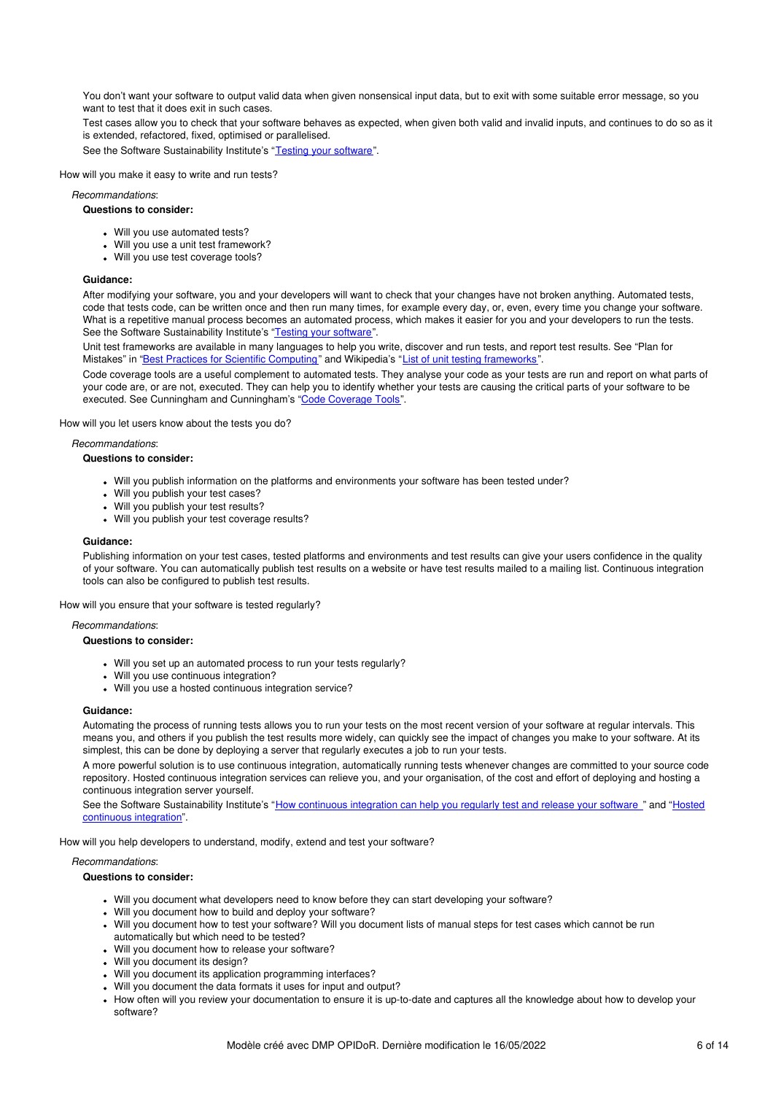You don't want your software to output valid data when given nonsensical input data, but to exit with some suitable error message, so you want to test that it does exit in such cases.

Test cases allow you to check that your software behaves as expected, when given both valid and invalid inputs, and continues to do so as it is extended, refactored, fixed, optimised or parallelised.

See the Software Sustainability Institute's "Testing your [software](http://software.ac.uk/resources/guides/testing-your-software)".

How will you make it easy to write and run tests?

### *Recommandations*:

### **Questions to consider:**

- Will you use automated tests?
- Will you use a unit test framework?
- Will you use test coverage tools?

#### **Guidance:**

After modifying your software, you and your developers will want to check that your changes have not broken anything. Automated tests, code that tests code, can be written once and then run many times, for example every day, or, even, every time you change your software. What is a repetitive manual process becomes an automated process, which makes it easier for you and your developers to run the tests. See the Software Sustainability Institute's "Testing your [software](http://software.ac.uk/resources/guides/testing-your-software)".

Unit test frameworks are available in many languages to help you write, discover and run tests, and report test results. See "Plan for Mistakes" in "Best Practices for Scientific [Computing](http://journals.plos.org/plosbiology/article?id=10.1371/journal.pbio.1001745)" and Wikipedia's "List of unit testing [frameworks](https://en.wikipedia.org/wiki/List_of_unit_testing_frameworks)".

Code coverage tools are a useful complement to automated tests. They analyse your code as your tests are run and report on what parts of your code are, or are not, executed. They can help you to identify whether your tests are causing the critical parts of your software to be executed. See Cunningham and Cunningham's "Code [Coverage](http://c2.com/cgi/wiki?CodeCoverageTools) Tools".

How will you let users know about the tests you do?

*Recommandations*:

#### **Questions to consider:**

- Will you publish information on the platforms and environments your software has been tested under?
- Will you publish your test cases?
- Will you publish your test results?
- Will you publish your test coverage results?

#### **Guidance:**

Publishing information on your test cases, tested platforms and environments and test results can give your users confidence in the quality of your software. You can automatically publish test results on a website or have test results mailed to a mailing list. Continuous integration tools can also be configured to publish test results.

How will you ensure that your software is tested regularly?

*Recommandations*:

### **Questions to consider:**

- Will you set up an automated process to run your tests regularly?
- Will you use continuous integration?
- Will you use a hosted continuous integration service?

#### **Guidance:**

Automating the process of running tests allows you to run your tests on the most recent version of your software at regular intervals. This means you, and others if you publish the test results more widely, can quickly see the impact of changes you make to your software. At its simplest, this can be done by deploying a server that regularly executes a job to run your tests.

A more powerful solution is to use continuous integration, automatically running tests whenever changes are committed to your source code repository. Hosted continuous integration services can relieve you, and your organisation, of the cost and effort of deploying and hosting a continuous integration server yourself.

See the Software [Sustainability](http://www.software.ac.uk/resources/guides/hosted-continuous-integration) Institute's "How [continuous](http://software.ac.uk/how-continuous-integration-can-help-you-regularly-test-and-release-your-software) integration can help you regularly test and release your software " and "Hosted continuous integration".

How will you help developers to understand, modify, extend and test your software?

#### *Recommandations*:

- Will you document what developers need to know before they can start developing your software?
- Will you document how to build and deploy your software?
- Will you document how to test your software? Will you document lists of manual steps for test cases which cannot be run automatically but which need to be tested?
- Will you document how to release your software?
- Will you document its design?
- Will you document its application programming interfaces?
- Will you document the data formats it uses for input and output?
- How often will you review your documentation to ensure it is up-to-date and captures all the knowledge about how to develop your software?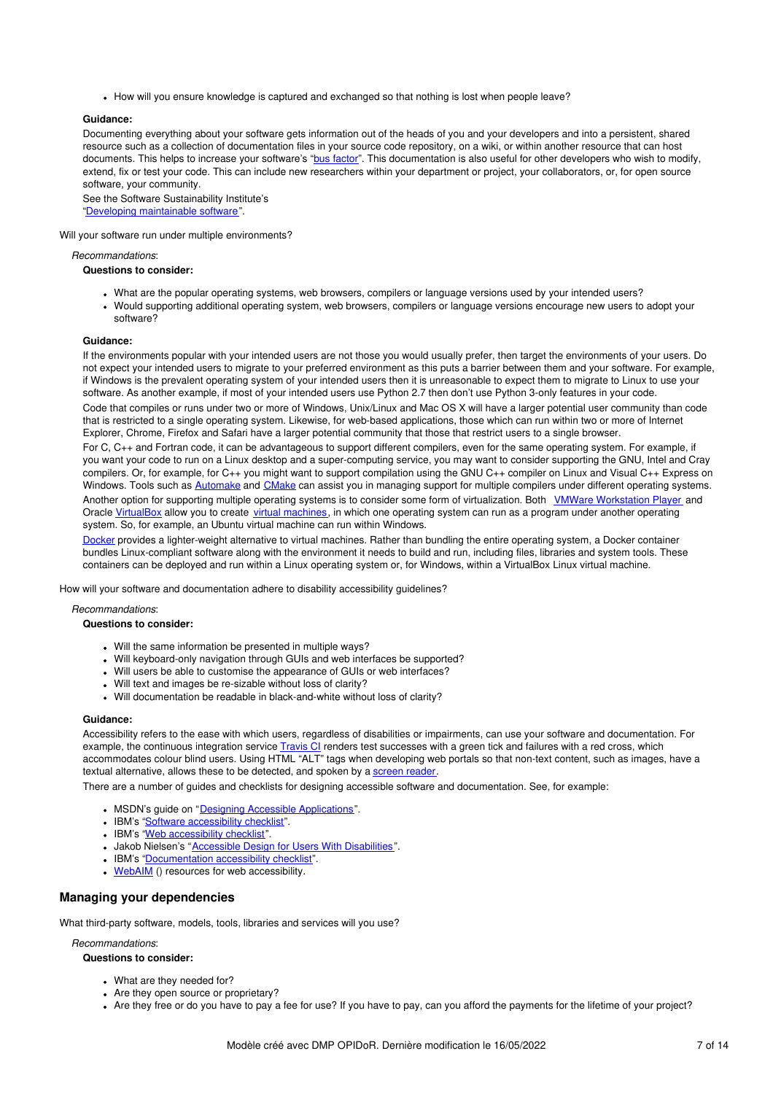• How will you ensure knowledge is captured and exchanged so that nothing is lost when people leave?

### **Guidance:**

Documenting everything about your software gets information out of the heads of you and your developers and into a persistent, shared resource such as a collection of documentation files in your source code repository, on a wiki, or within another resource that can host documents. This helps to increase your software's "bus [factor](http://en.wikipedia.org/wiki/Bus_factor)". This documentation is also useful for other developers who wish to modify, extend, fix or test your code. This can include new researchers within your department or project, your collaborators, or, for open source software, your community.

See the Software Sustainability Institute's "Developing [maintainable](http://software.ac.uk/resources/guides/developing-maintainable-software) software".

### Will your software run under multiple environments?

*Recommandations*:

#### **Questions to consider:**

- What are the popular operating systems, web browsers, compilers or language versions used by your intended users?
- Would supporting additional operating system, web browsers, compilers or language versions encourage new users to adopt your .<br>software?

#### **Guidance:**

If the environments popular with your intended users are not those you would usually prefer, then target the environments of your users. Do not expect your intended users to migrate to your preferred environment as this puts a barrier between them and your software. For example, if Windows is the prevalent operating system of your intended users then it is unreasonable to expect them to migrate to Linux to use your software. As another example, if most of your intended users use Python 2.7 then don't use Python 3-only features in your code. Code that compiles or runs under two or more of Windows, Unix/Linux and Mac OS X will have a larger potential user community than code that is restricted to a single operating system. Likewise, for web-based applications, those which can run within two or more of Internet Explorer, Chrome, Firefox and Safari have a larger potential community that those that restrict users to a single browser.

For C, C++ and Fortran code, it can be advantageous to support different compilers, even for the same operating system. For example, if you want your code to run on a Linux desktop and a super-computing service, you may want to consider supporting the GNU, Intel and Cray compilers. Or, for example, for C++ you might want to support compilation using the GNU C++ compiler on Linux and Visual C++ Express on Windows. Tools such as **[Automake](https://www.gnu.org/software/automake) and [CMake](http://cmake.org/)** can assist you in managing support for multiple compilers under different operating systems. Another option for supporting multiple operating systems is to consider some form of virtualization. Both VMWare [Workstation](http://www.vmware.com/uk/products/player) Player and Oracle [VirtualBox](https://www.virtualbox.org/) allow you to create virtual [machines](https://en.wikipedia.org/wiki/Virtual_machine), in which one operating system can run as a program under another operating system. So, for example, an Ubuntu virtual machine can run within Windows.

[Docker](https://www.docker.com/) provides a lighter-weight alternative to virtual machines. Rather than bundling the entire operating system, a Docker container bundles Linux-compliant software along with the environment it needs to build and run, including files, libraries and system tools. These containers can be deployed and run within a Linux operating system or, for Windows, within a VirtualBox Linux virtual machine.

How will your software and documentation adhere to disability accessibility guidelines?

### *Recommandations*:

### **Questions to consider:**

- Will the same information be presented in multiple ways?
- Will keyboard-only navigation through GUIs and web interfaces be supported?
- Will users be able to customise the appearance of GUIs or web interfaces?
- Will text and images be re-sizable without loss of clarity?
- Will documentation be readable in black-and-white without loss of clarity?

### **Guidance:**

Accessibility refers to the ease with which users, regardless of disabilities or impairments, can use your software and documentation. For example, the continuous integration service [Travis](https://travis-ci.org/) CI renders test successes with a green tick and failures with a red cross, which accommodates colour blind users. Using HTML "ALT" tags when developing web portals so that non-text content, such as images, have a textual alternative, allows these to be detected, and spoken by a [screen](https://en.wikipedia.org/wiki/Screen_reader) reader

There are a number of guides and checklists for designing accessible software and documentation. See, for example:

- . MSDN's guide on "Designing Accessible [Applications](https://msdn.microsoft.com/en-us/library/aa291864)".
- IBM's "Software [accessibility](http://www-03.ibm.com/able/guidelines/software/accesssoftware.html) checklist".
- IBM's "Web [accessibility](http://www-03.ibm.com/able/guidelines/web/accessweb.html) checklist".
- Jakob Nielsen's "Accessible Design for Users With [Disabilities](http://www.nngroup.com/articles/accessible-design-for-users-with-disabilities/)".
- IBM's ["Documentation](http://www-03.ibm.com/able/guidelines/documentation/accessdoc.html) accessibility checklist".
- [WebAIM](http://webaim.org/) () resources for web accessibility.

### **Managing your dependencies**

What third-party software, models, tools, libraries and services will you use?

### *Recommandations*:

- What are they needed for?
- Are they open source or proprietary?
- Are they free or do you have to pay a fee for use? If you have to pay, can you afford the payments for the lifetime of your project?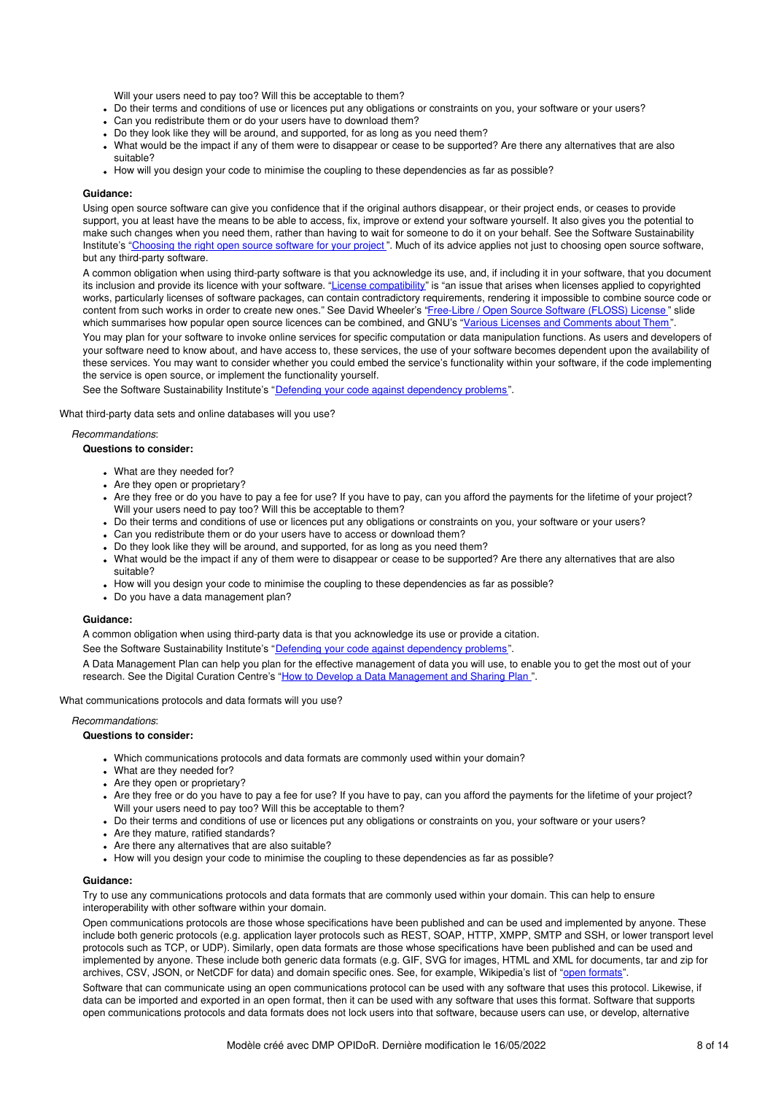Will your users need to pay too? Will this be acceptable to them?

- Do their terms and conditions of use or licences put any obligations or constraints on you, your software or your users?
- Can you redistribute them or do your users have to download them?
- Do they look like they will be around, and supported, for as long as you need them?
- What would be the impact if any of them were to disappear or cease to be supported? Are there any alternatives that are also suitable?
- How will you design your code to minimise the coupling to these dependencies as far as possible?

### **Guidance:**

Using open source software can give you confidence that if the original authors disappear, or their project ends, or ceases to provide support, you at least have the means to be able to access, fix, improve or extend your software yourself. It also gives you the potential to make such changes when you need them, rather than having to wait for someone to do it on your behalf. See the Software Sustainability Institute's ["Choosing](http://www.software.ac.uk/choosing-right-open-source-software-your-project) the right open source software for your project". Much of its advice applies not just to choosing open source software, but any third-party software.

A common obligation when using third-party software is that you acknowledge its use, and, if including it in your software, that you document its inclusion and provide its licence with your software. "License [compatibility](http://en.wikipedia.org/wiki/License_compatibility)" is "an issue that arises when licenses applied to copyrighted works, particularly licenses of software packages, can contain contradictory requirements, rendering it impossible to combine source code or content from such works in order to create new ones." See David Wheeler's ["Free-Libre](http://www.dwheeler.com/essays/floss-license-slide.html) / Open Source Software (FLOSS) License " slide which summarises how popular open source licences can be combined, and GNU's "Various Licenses and [Comments](http://www.gnu.org/licenses/license-list.html) about Them".

You may plan for your software to invoke online services for specific computation or data manipulation functions. As users and developers of your software need to know about, and have access to, these services, the use of your software becomes dependent upon the availability of these services. You may want to consider whether you could embed the service's functionality within your software, if the code implementing the service is open source, or implement the functionality yourself.

See the Software Sustainability Institute's "Defending your code against [dependency](http://software.ac.uk/resources/guides/defending-your-code-against-dependency-problems) problems".

What third-party data sets and online databases will you use?

### *Recommandations*:

### **Questions to consider:**

- What are they needed for?
- Are they open or proprietary?
- . Are they free or do you have to pay a fee for use? If you have to pay, can you afford the payments for the lifetime of your project? Will your users need to pay too? Will this be acceptable to them?
- Do their terms and conditions of use or licences put any obligations or constraints on you, your software or your users?
- Can you redistribute them or do your users have to access or download them?
- Do they look like they will be around, and supported, for as long as you need them?
- What would be the impact if any of them were to disappear or cease to be supported? Are there any alternatives that are also suitable?
- How will you design your code to minimise the coupling to these dependencies as far as possible?
- Do you have a data management plan?

#### **Guidance:**

A common obligation when using third-party data is that you acknowledge its use or provide a citation.

See the Software Sustainability Institute's "Defending your code against [dependency](http://software.ac.uk/resources/guides/defending-your-code-against-dependency-problems) problems".

A Data Management Plan can help you plan for the effective management of data you will use, to enable you to get the most out of your research. See the Digital Curation Centre's "How to Develop a Data [Management](http://www.dcc.ac.uk/resources/how-guides/develop-data-plan) and Sharing Plan ".

What communications protocols and data formats will you use?

#### *Recommandations*:

#### **Questions to consider:**

- Which communications protocols and data formats are commonly used within your domain?
- What are they needed for?
- Are they open or proprietary?
- . Are they free or do you have to pay a fee for use? If you have to pay, can you afford the payments for the lifetime of your project? Will your users need to pay too? Will this be acceptable to them?
- Do their terms and conditions of use or licences put any obligations or constraints on you, your software or your users?
- Are they mature, ratified standards?
- Are there any alternatives that are also suitable?
- How will you design your code to minimise the coupling to these dependencies as far as possible?

#### **Guidance:**

Try to use any communications protocols and data formats that are commonly used within your domain. This can help to ensure interoperability with other software within your domain.

Open communications protocols are those whose specifications have been published and can be used and implemented by anyone. These include both generic protocols (e.g. application layer protocols such as REST, SOAP, HTTP, XMPP, SMTP and SSH, or lower transport level protocols such as TCP, or UDP). Similarly, open data formats are those whose specifications have been published and can be used and implemented by anyone. These include both generic data formats (e.g. GIF, SVG for images, HTML and XML for documents, tar and zip for archives, CSV, JSON, or NetCDF for data) and domain specific ones. See, for example, Wikipedia's list of "open [formats](https://en.wikipedia.org/wiki/Open_format)".

Software that can communicate using an open communications protocol can be used with any software that uses this protocol. Likewise, if data can be imported and exported in an open format, then it can be used with any software that uses this format. Software that supports open communications protocols and data formats does not lock users into that software, because users can use, or develop, alternative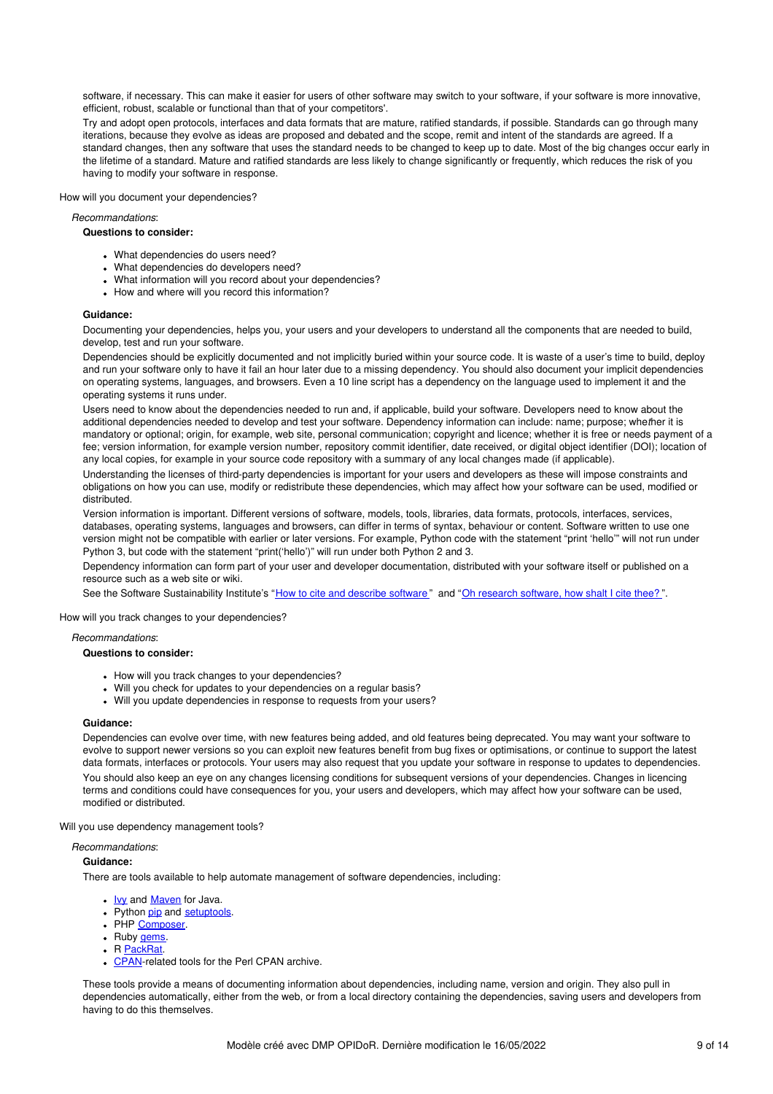software, if necessary. This can make it easier for users of other software may switch to your software, if your software is more innovative, efficient, robust, scalable or functional than that of your competitors'.

Try and adopt open protocols, interfaces and data formats that are mature, ratified standards, if possible. Standards can go through many iterations, because they evolve as ideas are proposed and debated and the scope, remit and intent of the standards are agreed. If a standard changes, then any software that uses the standard needs to be changed to keep up to date. Most of the big changes occur early in the lifetime of a standard. Mature and ratified standards are less likely to change significantly or frequently, which reduces the risk of you having to modify your software in response.

How will you document your dependencies?

### *Recommandations*:

### **Questions to consider:**

- What dependencies do users need?
- What dependencies do developers need?
- What information will you record about your dependencies?
- How and where will you record this information?

### **Guidance:**

Documenting your dependencies, helps you, your users and your developers to understand all the components that are needed to build, develop, test and run your software.

Dependencies should be explicitly documented and not implicitly buried within your source code. It is waste of a user's time to build, deploy and run your software only to have it fail an hour later due to a missing dependency. You should also document your implicit dependencies on operating systems, languages, and browsers. Even a 10 line script has a dependency on the language used to implement it and the operating systems it runs under.

Users need to know about the dependencies needed to run and, if applicable, build your software. Developers need to know about the additional dependencies needed to develop and test your software. Dependency information can include: name; purpose; whe*t*her it is mandatory or optional; origin, for example, web site, personal communication; copyright and licence; whether it is free or needs payment of a fee; version information, for example version number, repository commit identifier, date received, or digital object identifier (DOI); location of any local copies, for example in your source code repository with a summary of any local changes made (if applicable).

Understanding the licenses of third-party dependencies is important for your users and developers as these will impose constraints and obligations on how you can use, modify or redistribute these dependencies, which may affect how your software can be used, modified or distributed.

Version information is important. Different versions of software, models, tools, libraries, data formats, protocols, interfaces, services, databases, operating systems, languages and browsers, can differ in terms of syntax, behaviour or content. Software written to use one version might not be compatible with earlier or later versions. For example, Python code with the statement "print 'hello'" will not run under Python 3, but code with the statement "print('hello')" will run under both Python 2 and 3.

Dependency information can form part of your user and developer documentation, distributed with your software itself or published on a resource such as a web site or wiki.

See the Software Sustainability Institute's "How to cite and [describe](http://software.ac.uk/so-exactly-what-software-did-you-use) software" and "Oh research [software,](http://www.software.ac.uk/blog/2014-07-30-oh-research-software-how-shalt-i-cite-thee) how shalt I cite thee?".

How will you track changes to your dependencies?

### *Recommandations*:

# **Questions to consider:**

- How will you track changes to your dependencies?
- Will you check for updates to your dependencies on a regular basis?
- Will you update dependencies in response to requests from your users?

#### **Guidance:**

Dependencies can evolve over time, with new features being added, and old features being deprecated. You may want your software to evolve to support newer versions so you can exploit new features benefit from bug fixes or optimisations, or continue to support the latest data formats, interfaces or protocols. Your users may also request that you update your software in response to updates to dependencies. You should also keep an eye on any changes licensing conditions for subsequent versions of your dependencies. Changes in licencing terms and conditions could have consequences for you, your users and developers, which may affect how your software can be used, modified or distributed.

Will you use dependency management tools?

### *Recommandations*:

#### **Guidance:**

There are tools available to help automate management of software dependencies, including:

- . <u>[Ivy](http://ant.apache.org/ivy/)</u> and **[Maven](https://maven.apache.org/)** for Java.
- Python [pip](https://pypi.python.org/pypi/pip) and [setuptools](https://pypi.python.org/pypi/setuptools).
- PHP [Composer](https://getcomposer.org/).
- Ruby [gems](https://rubygems.org/).
- R [PackRat](https://rstudio.github.io/packrat/).
- [CPAN](http://www.cpan.org/modules/INSTALL.html)-related tools for the Perl CPAN archive.

These tools provide a means of documenting information about dependencies, including name, version and origin. They also pull in dependencies automatically, either from the web, or from a local directory containing the dependencies, saving users and developers from having to do this themselves.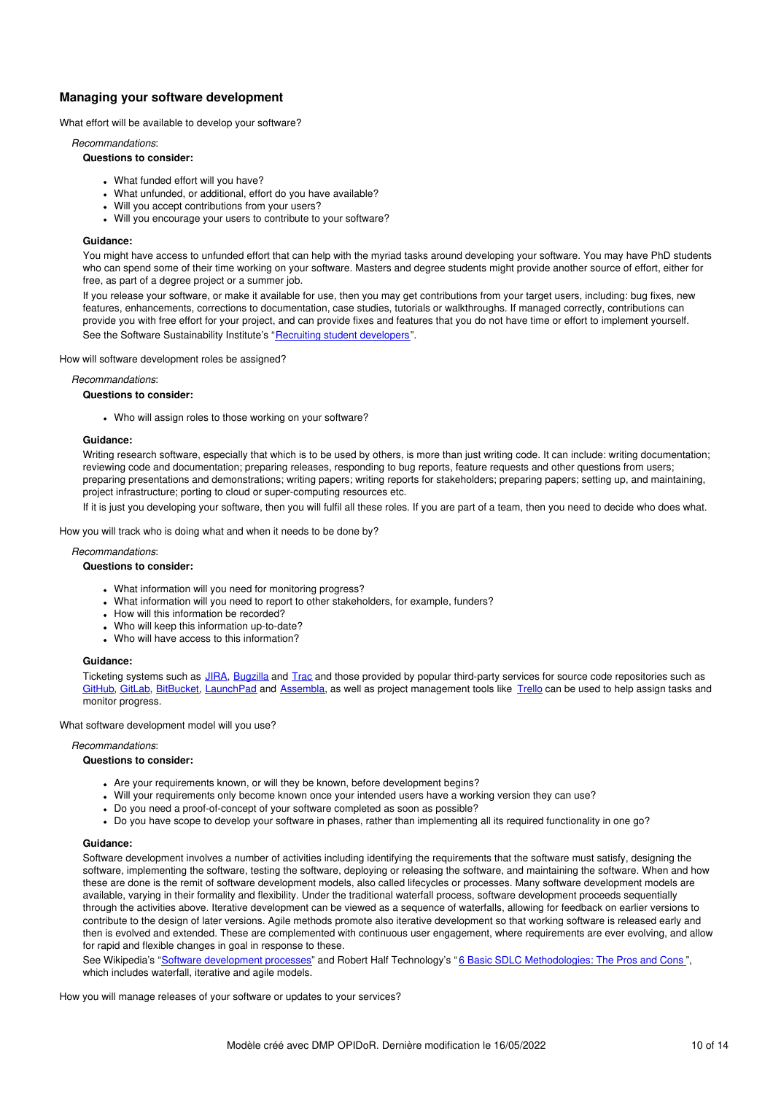# **Managing your software development**

What effort will be available to develop your software?

*Recommandations*:

### **Questions to consider:**

- What funded effort will you have?
- What unfunded, or additional, effort do you have available?
- Will you accept contributions from your users?
- Will you encourage your users to contribute to your software?

### **Guidance:**

You might have access to unfunded effort that can help with the myriad tasks around developing your software. You may have PhD students who can spend some of their time working on your software. Masters and degree students might provide another source of effort, either for free, as part of a degree project or a summer job.

If you release your software, or make it available for use, then you may get contributions from your target users, including: bug fixes, new features, enhancements, corrections to documentation, case studies, tutorials or walkthroughs. If managed correctly, contributions can provide you with free effort for your project, and can provide fixes and features that you do not have time or effort to implement yourself. See the Software Sustainability Institute's "Recruiting student [developers](http://software.ac.uk/resources/guides/recruiting-student-developers)".

How will software development roles be assigned?

### *Recommandations*:

### **Questions to consider:**

Who will assign roles to those working on your software?

### **Guidance:**

Writing research software, especially that which is to be used by others, is more than just writing code. It can include: writing documentation; reviewing code and documentation; preparing releases, responding to bug reports, feature requests and other questions from users; preparing presentations and demonstrations; writing papers; writing reports for stakeholders; preparing papers; setting up, and maintaining, project infrastructure; porting to cloud or super-computing resources etc.

If it is just you developing your software, then you will fulfil all these roles. If you are part of a team, then you need to decide who does what.

How you will track who is doing what and when it needs to be done by?

#### *Recommandations*:

#### **Questions to consider:**

- What information will you need for monitoring progress?
- What information will you need to report to other stakeholders, for example, funders?
- . How will this information be recorded?
- Who will keep this information up-to-date?
- Who will have access to this information?

#### **Guidance:**

Ticketing systems such as [JIRA](https://www.atlassian.com/software/jira), [Bugzilla](https://www.bugzilla.org/) and [Trac](http://trac.edgewall.org/) and those provided by popular third-party services for source code repositories such as [GitHub,](http://github.com/) [GitLab](http://www.gitlab.com/), [BitBucket](http://bitbucket.org/), [LaunchPad](https://launchpad.net/) and [Assembla](https://www.assembla.com/), as well as project management tools like [Trello](https://trello.com/) can be used to help assign tasks and monitor progress.

What software development model will you use?

#### *Recommandations*:

### **Questions to consider:**

- Are your requirements known, or will they be known, before development begins?
- Will your requirements only become known once your intended users have a working version they can use?
- Do you need a proof-of-concept of your software completed as soon as possible?
- Do you have scope to develop your software in phases, rather than implementing all its required functionality in one go?

#### **Guidance:**

Software development involves a number of activities including identifying the requirements that the software must satisfy, designing the software, implementing the software, testing the software, deploying or releasing the software, and maintaining the software. When and how these are done is the remit of software development models, also called lifecycles or processes. Many software development models are available, varying in their formality and flexibility. Under the traditional waterfall process, software development proceeds sequentially through the activities above. Iterative development can be viewed as a sequence of waterfalls, allowing for feedback on earlier versions to contribute to the design of later versions. Agile methods promote also iterative development so that working software is released early and then is evolved and extended. These are complemented with continuous user engagement, where requirements are ever evolving, and allow for rapid and flexible changes in goal in response to these.

See Wikipedia's "Software [development](http://en.wikipedia.org/wiki/Software_development_process) processes" and Robert Half Technology's "6 Basic SDLC [Methodologies:](http://www.roberthalf.com/technology/blog/6-basic-sdlc-methodologies-the-pros-and-cons) The Pros and Cons", which includes waterfall, iterative and agile models.

How you will manage releases of your software or updates to your services?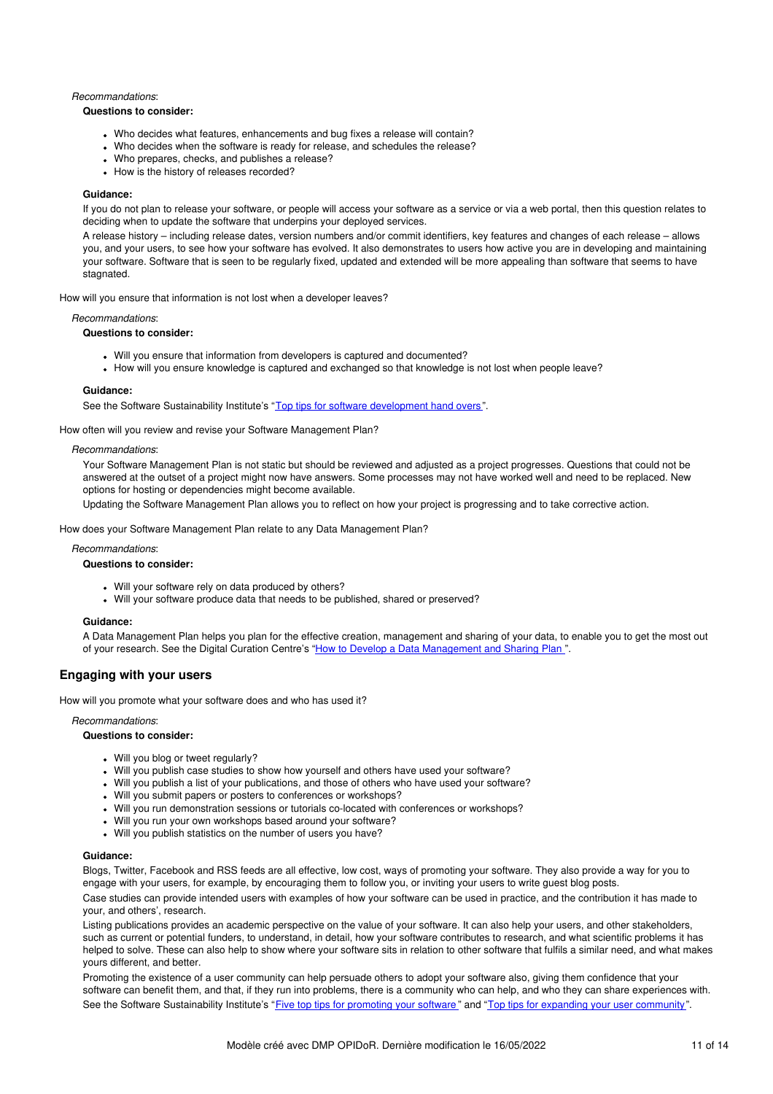### *Recommandations*:

### **Questions to consider:**

- Who decides what features, enhancements and bug fixes a release will contain?
- Who decides when the software is ready for release, and schedules the release?
- Who prepares, checks, and publishes a release?
- How is the history of releases recorded?

## **Guidance:**

If you do not plan to release your software, or people will access your software as a service or via a web portal, then this question relates to deciding when to update the software that underpins your deployed services.

A release history – including release dates, version numbers and/or commit identifiers, key features and changes of each release – allows you, and your users, to see how your software has evolved. It also demonstrates to users how active you are in developing and maintaining your software. Software that is seen to be regularly fixed, updated and extended will be more appealing than software that seems to have stagnated.

How will you ensure that information is not lost when a developer leaves?

#### *Recommandations*:

### **Questions to consider:**

- Will you ensure that information from developers is captured and documented?
- How will you ensure knowledge is captured and exchanged so that knowledge is not lost when people leave?

### **Guidance:**

See the Software Sustainability Institute's "Top tips for software [development](http://www.software.ac.uk/blog/2013-10-10-top-tips-software-development-hand-overs) hand overs".

How often will you review and revise your Software Management Plan?

#### *Recommandations*:

Your Software Management Plan is not static but should be reviewed and adjusted as a project progresses. Questions that could not be answered at the outset of a project might now have answers. Some processes may not have worked well and need to be replaced. New options for hosting or dependencies might become available.

Updating the Software Management Plan allows you to reflect on how your project is progressing and to take corrective action.

How does your Software Management Plan relate to any Data Management Plan?

#### *Recommandations*:

#### **Questions to consider:**

- Will your software rely on data produced by others?
- Will your software produce data that needs to be published, shared or preserved?

#### **Guidance:**

A Data Management Plan helps you plan for the effective creation, management and sharing of your data, to enable you to get the most out of your research. See the Digital Curation Centre's "How to Develop a Data [Management](http://www.dcc.ac.uk/resources/how-guides/develop-data-plan) and Sharing Plan ".

# **Engaging with your users**

How will you promote what your software does and who has used it?

#### *Recommandations*:

#### **Questions to consider:**

- Will you blog or tweet regularly?
- Will you publish case studies to show how yourself and others have used your software?
- Will you publish a list of your publications, and those of others who have used your software?
- Will you submit papers or posters to conferences or workshops?
- Will you run demonstration sessions or tutorials co-located with conferences or workshops?
- Will you run your own workshops based around your software?
- Will you publish statistics on the number of users you have?

#### **Guidance:**

Blogs, Twitter, Facebook and RSS feeds are all effective, low cost, ways of promoting your software. They also provide a way for you to engage with your users, for example, by encouraging them to follow you, or inviting your users to write guest blog posts.

Case studies can provide intended users with examples of how your software can be used in practice, and the contribution it has made to your, and others', research.

Listing publications provides an academic perspective on the value of your software. It can also help your users, and other stakeholders, such as current or potential funders, to understand, in detail, how your software contributes to research, and what scientific problems it has helped to solve. These can also help to show where your software sits in relation to other software that fulfils a similar need, and what makes yours different, and better.

Promoting the existence of a user community can help persuade others to adopt your software also, giving them confidence that your software can benefit them, and that, if they run into problems, there is a community who can help, and who they can share experiences with. See the Software Sustainability Institute's "Five top tips for [promoting](http://software.ac.uk/blog/2012-03-05-five-top-tips-promoting-your-software) your software" and "Top tips for expanding your user [community](http://www.software.ac.uk/blog/2013-10-29-top-tips-expanding-your-user-community)".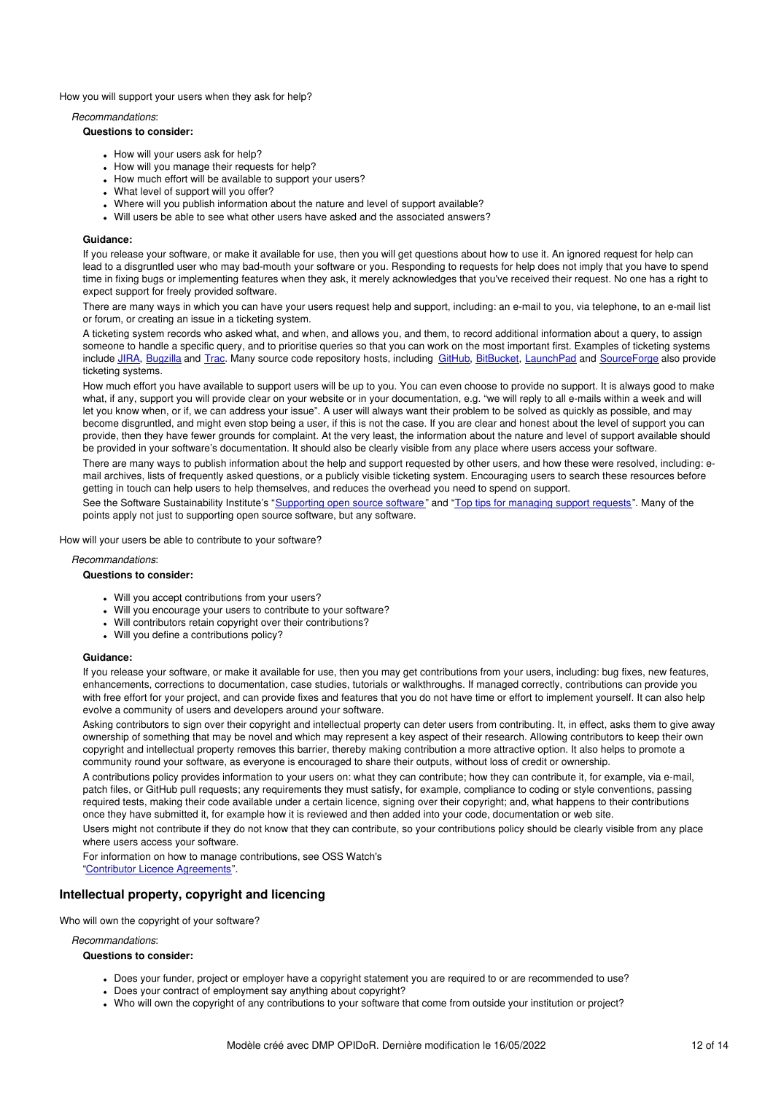How you will support your users when they ask for help?

### *Recommandations*:

### **Questions to consider:**

- How will your users ask for help?
- How will you manage their requests for help?
- How much effort will be available to support your users?
- What level of support will you offer?
- Where will you publish information about the nature and level of support available?
- Will users be able to see what other users have asked and the associated answers?

### **Guidance:**

If you release your software, or make it available for use, then you will get questions about how to use it. An ignored request for help can lead to a disgruntled user who may bad-mouth your software or you. Responding to requests for help does not imply that you have to spend time in fixing bugs or implementing features when they ask, it merely acknowledges that you've received their request. No one has a right to expect support for freely provided software.

There are many ways in which you can have your users request help and support, including: an e-mail to you, via telephone, to an e-mail list or forum, or creating an issue in a ticketing system.

A ticketing system records who asked what, and when, and allows you, and them, to record additional information about a query, to assign someone to handle a specific query, and to prioritise queries so that you can work on the most important first. Examples of ticketing systems include [JIRA](https://www.atlassian.com/software/jira), [Bugzilla](http://www.bugzilla.org/) and [Trac](http://trac.edgewall.org/). Many source code repository hosts, including [GitHub,](http://github.com/) [BitBucket](http://bitbucket.org/), [LaunchPad](https://launchpad.net/) and [SourceForge](https://sourceforge.net/) also provide ticketing systems.

How much effort you have available to support users will be up to you. You can even choose to provide no support. It is always good to make what, if any, support you will provide clear on your website or in your documentation, e.g. "we will reply to all e-mails within a week and will let you know when, or if, we can address your issue". A user will always want their problem to be solved as quickly as possible, and may become disgruntled, and might even stop being a user, if this is not the case. If you are clear and honest about the level of support you can provide, then they have fewer grounds for complaint. At the very least, the information about the nature and level of support available should be provided in your software's documentation. It should also be clearly visible from any place where users access your software.

There are many ways to publish information about the help and support requested by other users, and how these were resolved, including: email archives, lists of frequently asked questions, or a publicly visible ticketing system. Encouraging users to search these resources before getting in touch can help users to help themselves, and reduces the overhead you need to spend on support.

See the Software Sustainability Institute's "[Supporting](http://software.ac.uk/resources/guides/supporting-open-source-software) open source software" and "Top tips for [managing](http://www.software.ac.uk/blog/2014-01-21-top-tips-managing-support-requests) support requests". Many of the points apply not just to supporting open source software, but any software.

How will your users be able to contribute to your software?

### *Recommandations*:

#### **Questions to consider:**

- Will you accept contributions from your users?
- Will you encourage your users to contribute to your software?
- Will contributors retain copyright over their contributions?
- Will you define a contributions policy?

#### **Guidance:**

If you release your software, or make it available for use, then you may get contributions from your users, including: bug fixes, new features, enhancements, corrections to documentation, case studies, tutorials or walkthroughs. If managed correctly, contributions can provide you with free effort for your project, and can provide fixes and features that you do not have time or effort to implement yourself. It can also help evolve a community of users and developers around your software.

Asking contributors to sign over their copyright and intellectual property can deter users from contributing. It, in effect, asks them to give away ownership of something that may be novel and which may represent a key aspect of their research. Allowing contributors to keep their own copyright and intellectual property removes this barrier, thereby making contribution a more attractive option. It also helps to promote a community round your software, as everyone is encouraged to share their outputs, without loss of credit or ownership.

A contributions policy provides information to your users on: what they can contribute; how they can contribute it, for example, via e-mail, patch files, or GitHub pull requests; any requirements they must satisfy, for example, compliance to coding or style conventions, passing required tests, making their code available under a certain licence, signing over their copyright; and, what happens to their contributions once they have submitted it, for example how it is reviewed and then added into your code, documentation or web site.

Users might not contribute if they do not know that they can contribute, so your contributions policy should be clearly visible from any place where users access your software.

For information on how to manage contributions, see OSS Watch's "Contributor Licence [Agreements](http://oss-watch.ac.uk/resources/cla)".

# **Intellectual property, copyright and licencing**

Who will own the copyright of your software?

*Recommandations*:

- Does your funder, project or employer have a copyright statement you are required to or are recommended to use?
- Does your contract of employment say anything about copyright?
- Who will own the copyright of any contributions to your software that come from outside your institution or project?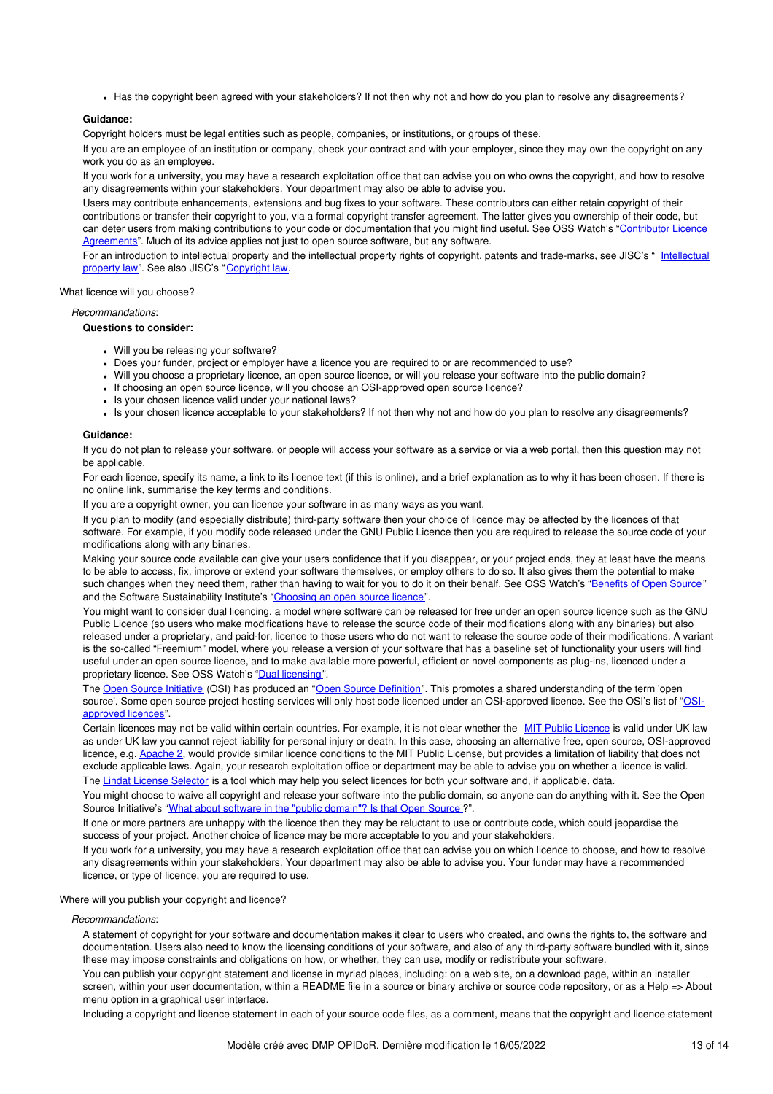• Has the copyright been agreed with your stakeholders? If not then why not and how do you plan to resolve any disagreements?

### **Guidance:**

Copyright holders must be legal entities such as people, companies, or institutions, or groups of these.

If you are an employee of an institution or company, check your contract and with your employer, since they may own the copyright on any work you do as an employee.

If you work for a university, you may have a research exploitation office that can advise you on who owns the copyright, and how to resolve any disagreements within your stakeholders. Your department may also be able to advise you.

Users may contribute enhancements, extensions and bug fixes to your software. These contributors can either retain copyright of their contributions or transfer their copyright to you, via a formal copyright transfer agreement. The latter gives you ownership of their code, but can deter users from making contributions to your code or [documentation](http://oss-watch.ac.uk/resources/cla) that you might find useful. See OSS Watch's "Contributor Licence Agreements". Much of its advice applies not just to open source software, but any software.

For an introduction to intellectual property and the intellectual property rights of copyright, patents and [trade-marks,](https://www.jisc.ac.uk/guides/intellectual-property-law) see JISC's " Intellectual property law". See also JISC's "[Copyright](https://www.jisc.ac.uk/guides/copyright-law) law.

What licence will you choose?

*Recommandations*:

### **Questions to consider:**

- Will you be releasing your software?
- Does your funder, project or employer have a licence you are required to or are recommended to use?
- Will you choose a proprietary licence, an open source licence, or will you release your software into the public domain?
- . If choosing an open source licence, will you choose an OSI-approved open source licence?
- Is your chosen licence valid under your national laws?
- Is your chosen licence acceptable to your stakeholders? If not then why not and how do you plan to resolve any disagreements?

### **Guidance:**

If you do not plan to release your software, or people will access your software as a service or via a web portal, then this question may not be applicable.

For each licence, specify its name, a link to its licence text (if this is online), and a brief explanation as to why it has been chosen. If there is no online link, summarise the key terms and conditions.

If you are a copyright owner, you can licence your software in as many ways as you want.

If you plan to modify (and especially distribute) third-party software then your choice of licence may be affected by the licences of that software. For example, if you modify code released under the GNU Public Licence then you are required to release the source code of your modifications along with any binaries.

Making your source code available can give your users confidence that if you disappear, or your project ends, they at least have the means to be able to access, fix, improve or extend your software themselves, or employ others to do so. It also gives them the potential to make such changes when they need them, rather than having to wait for you to do it on their behalf. See OSS Watch's ["Benefits](http://oss-watch.ac.uk/resources/whoneedssource) of Open Source" and the Software Sustainability Institute's "[Choosing](http://software.ac.uk/resources/guides/adopting-open-source-licence) an open source licence".

You might want to consider dual licencing, a model where software can be released for free under an open source licence such as the GNU Public Licence (so users who make modifications have to release the source code of their modifications along with any binaries) but also released under a proprietary, and paid-for, licence to those users who do not want to release the source code of their modifications. A variant is the so-called "Freemium" model, where you release a version of your software that has a baseline set of functionality your users will find useful under an open source licence, and to make available more powerful, efficient or novel components as plug-ins, licenced under a proprietary licence. See OSS Watch's "Dual [licensing](http://oss-watch.ac.uk/resources/duallicence)".

The Open Source [Initiative](http://opensource.org/) (OSI) has produced an "Open Source [Definition](http://opensource.org/osd)". This promotes a shared understanding of the term 'open source'. Some open source project hosting services will only host code licenced under an [OSI-approved](http://opensource.org/licenses) licence. See the OSI's list of "OSIapproved licences".

Certain licences may not be valid within certain countries. For example, it is not clear whether the MIT Public [Licence](http://opensource.org/licenses/MIT) is valid under UK law as under UK law you cannot reject liability for personal injury or death. In this case, choosing an alternative free, open source, OSI-approved licence, e.g. [Apache](http://www.apache.org/licenses/LICENSE-2.0) 2, would provide similar licence conditions to the MIT Public License, but provides a limitation of liability that does not exclude applicable laws. Again, your research exploitation office or department may be able to advise you on whether a licence is valid. The Lindat License [Selector](http://ufal.github.io/public-license-selector/) is a tool which may help you select licences for both your software and, if applicable, data.

You might choose to waive all copyright and release your software into the public domain, so anyone can do anything with it. See the Open Source Initiative's "What about software in the "public [domain"?](http://opensource.org/faq#public-domain) Is that Open Source ?".

If one or more partners are unhappy with the licence then they may be reluctant to use or contribute code, which could jeopardise the success of your project. Another choice of licence may be more acceptable to you and your stakeholders.

If you work for a university, you may have a research exploitation office that can advise you on which licence to choose, and how to resolve any disagreements within your stakeholders. Your department may also be able to advise you. Your funder may have a recommended licence, or type of licence, you are required to use.

Where will you publish your copyright and licence?

### *Recommandations*:

A statement of copyright for your software and documentation makes it clear to users who created, and owns the rights to, the software and documentation. Users also need to know the licensing conditions of your software, and also of any third-party software bundled with it, since these may impose constraints and obligations on how, or whether, they can use, modify or redistribute your software.

You can publish your copyright statement and license in myriad places, including: on a web site, on a download page, within an installer screen, within your user documentation, within a README file in a source or binary archive or source code repository, or as a Help => About menu option in a graphical user interface.

Including a copyright and licence statement in each of your source code files, as a comment, means that the copyright and licence statement